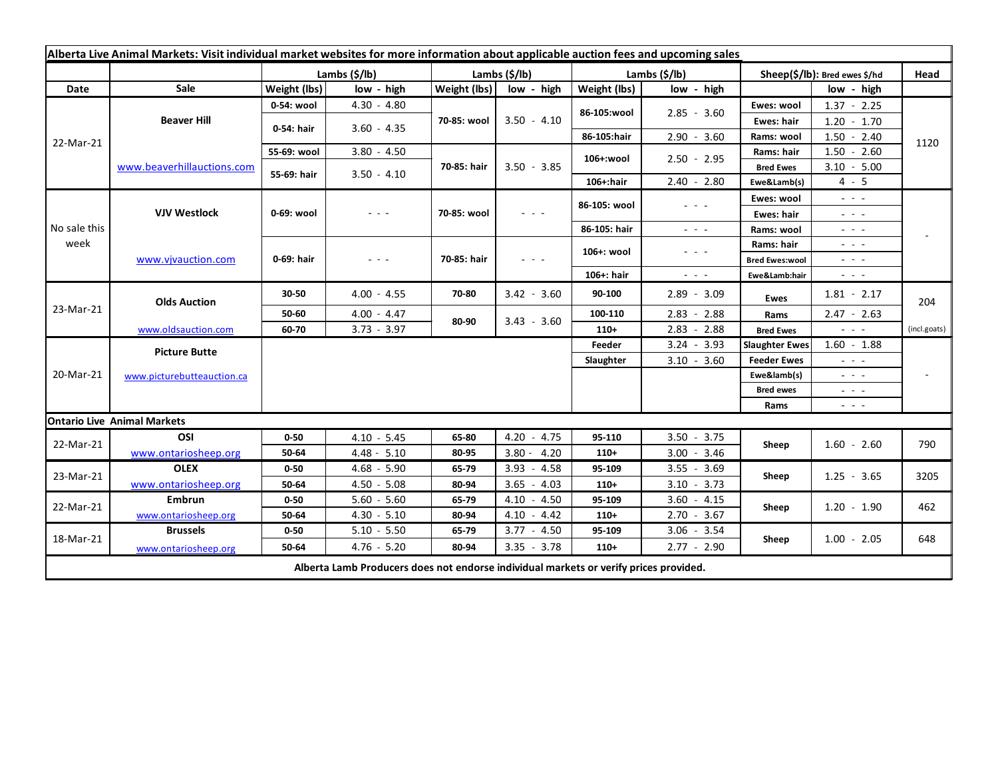| Alberta Live Animal Markets: Visit individual market websites for more information about applicable auction fees and upcoming sales |                                    |                       |               |               |                                                                                                                                                                                                                                                                                                                                                                                                                                                |                       |                                                                                                                           |                               |                                                                                                                                                               |              |
|-------------------------------------------------------------------------------------------------------------------------------------|------------------------------------|-----------------------|---------------|---------------|------------------------------------------------------------------------------------------------------------------------------------------------------------------------------------------------------------------------------------------------------------------------------------------------------------------------------------------------------------------------------------------------------------------------------------------------|-----------------------|---------------------------------------------------------------------------------------------------------------------------|-------------------------------|---------------------------------------------------------------------------------------------------------------------------------------------------------------|--------------|
|                                                                                                                                     |                                    | Lambs $(\frac{2}{3})$ |               | Lambs (\$/lb) |                                                                                                                                                                                                                                                                                                                                                                                                                                                | Lambs $(\frac{2}{3})$ |                                                                                                                           | Sheep(\$/lb): Bred ewes \$/hd |                                                                                                                                                               | Head         |
| Date                                                                                                                                | Sale                               | Weight (lbs)          | low - high    | Weight (lbs)  | low - high                                                                                                                                                                                                                                                                                                                                                                                                                                     | Weight (lbs)          | low - high                                                                                                                |                               | low - high                                                                                                                                                    |              |
| 22-Mar-21                                                                                                                           | <b>Beaver Hill</b>                 | 0-54: wool            | $4.30 - 4.80$ | 70-85: wool   | $3.50 - 4.10$                                                                                                                                                                                                                                                                                                                                                                                                                                  | 86-105:wool           | $2.85 - 3.60$                                                                                                             | Ewes: wool                    | $1.37 - 2.25$                                                                                                                                                 |              |
|                                                                                                                                     |                                    | 0-54: hair            | $3.60 - 4.35$ |               |                                                                                                                                                                                                                                                                                                                                                                                                                                                |                       |                                                                                                                           | Ewes: hair                    | $1.20 - 1.70$                                                                                                                                                 |              |
|                                                                                                                                     |                                    |                       |               |               |                                                                                                                                                                                                                                                                                                                                                                                                                                                | 86-105:hair           | $2.90 - 3.60$                                                                                                             | Rams: wool                    | $1.50 - 2.40$                                                                                                                                                 | 1120         |
|                                                                                                                                     | www.beaverhillauctions.com         | 55-69: wool           | $3.80 - 4.50$ | 70-85: hair   | $3.50 - 3.85$                                                                                                                                                                                                                                                                                                                                                                                                                                  | 106+:wool             | $2.50 - 2.95$                                                                                                             | Rams: hair                    | $1.50 - 2.60$                                                                                                                                                 |              |
|                                                                                                                                     |                                    | 55-69: hair           | $3.50 - 4.10$ |               |                                                                                                                                                                                                                                                                                                                                                                                                                                                |                       |                                                                                                                           | <b>Bred Ewes</b>              | $3.10 - 5.00$                                                                                                                                                 |              |
|                                                                                                                                     |                                    |                       |               |               |                                                                                                                                                                                                                                                                                                                                                                                                                                                | $106+$ :hair          | $2.40 - 2.80$                                                                                                             | Ewe&Lamb(s)                   | $4 - 5$                                                                                                                                                       |              |
| No sale this<br>week                                                                                                                | <b>VJV Westlock</b>                | 0-69: wool            | - - -         | 70-85: wool   | $\sim$ 100 $\sim$                                                                                                                                                                                                                                                                                                                                                                                                                              | 86-105: wool          | $\frac{1}{2} \left( \frac{1}{2} \right) \left( \frac{1}{2} \right) \left( \frac{1}{2} \right) \left( \frac{1}{2} \right)$ | Ewes: wool                    | $\omega_{\rm{c}}$ , $\omega_{\rm{c}}$ , $\omega_{\rm{c}}$                                                                                                     |              |
|                                                                                                                                     |                                    |                       |               |               |                                                                                                                                                                                                                                                                                                                                                                                                                                                |                       |                                                                                                                           | Ewes: hair                    | $\omega_{\rm{eff}}=0.02$                                                                                                                                      |              |
|                                                                                                                                     |                                    |                       |               |               |                                                                                                                                                                                                                                                                                                                                                                                                                                                | 86-105: hair          | $\sim$ $ \sim$                                                                                                            | Rams: wool                    | - - -                                                                                                                                                         |              |
|                                                                                                                                     | www.vjvauction.com                 | 0-69: hair            | $  -$         | 70-85: hair   | $\frac{1}{2} \left( \frac{1}{2} \right) + \frac{1}{2} \left( \frac{1}{2} \right) + \frac{1}{2} \left( \frac{1}{2} \right) + \frac{1}{2} \left( \frac{1}{2} \right) + \frac{1}{2} \left( \frac{1}{2} \right) + \frac{1}{2} \left( \frac{1}{2} \right) + \frac{1}{2} \left( \frac{1}{2} \right) + \frac{1}{2} \left( \frac{1}{2} \right) + \frac{1}{2} \left( \frac{1}{2} \right) + \frac{1}{2} \left( \frac{1}{2} \right) + \frac{1}{2} \left($ | 106+: wool            | $  -$                                                                                                                     | Rams: hair                    | $  -$                                                                                                                                                         |              |
|                                                                                                                                     |                                    |                       |               |               |                                                                                                                                                                                                                                                                                                                                                                                                                                                |                       |                                                                                                                           | <b>Bred Ewes:wool</b>         | $  -$                                                                                                                                                         |              |
|                                                                                                                                     |                                    |                       |               |               |                                                                                                                                                                                                                                                                                                                                                                                                                                                | $106+$ : hair         | $\frac{1}{2} \left( \frac{1}{2} \right) \left( \frac{1}{2} \right) \left( \frac{1}{2} \right) \left( \frac{1}{2} \right)$ | Ewe&Lamb:hair                 | $\sim$ 100 $\sim$                                                                                                                                             |              |
| 23-Mar-21                                                                                                                           | <b>Olds Auction</b>                | 30-50                 | $4.00 - 4.55$ | 70-80         | $3.42 - 3.60$                                                                                                                                                                                                                                                                                                                                                                                                                                  | 90-100                | $2.89 - 3.09$                                                                                                             | <b>Ewes</b>                   | $1.81 - 2.17$                                                                                                                                                 | 204          |
|                                                                                                                                     |                                    | 50-60                 | $4.00 - 4.47$ | 80-90         | $3.43 - 3.60$                                                                                                                                                                                                                                                                                                                                                                                                                                  | 100-110               | $2.83 - 2.88$                                                                                                             | Rams                          | $2.47 - 2.63$                                                                                                                                                 |              |
|                                                                                                                                     | www.oldsauction.com                | 60-70                 | $3.73 - 3.97$ |               |                                                                                                                                                                                                                                                                                                                                                                                                                                                | $110+$                | $2.83 - 2.88$                                                                                                             | <b>Bred Ewes</b>              | $\omega_{\rm{max}}$ and $\omega_{\rm{max}}$                                                                                                                   | (incl.goats) |
| 20-Mar-21                                                                                                                           | <b>Picture Butte</b>               |                       |               |               |                                                                                                                                                                                                                                                                                                                                                                                                                                                | Feeder                | $3.24 - 3.93$                                                                                                             | <b>Slaughter Ewes</b>         | $1.60 - 1.88$                                                                                                                                                 |              |
|                                                                                                                                     | www.picturebutteauction.ca         |                       |               |               |                                                                                                                                                                                                                                                                                                                                                                                                                                                | Slaughter             | $3.10 - 3.60$                                                                                                             | <b>Feeder Ewes</b>            | $\omega_{\rm{c}}$ , $\omega_{\rm{c}}$ , $\omega_{\rm{c}}$                                                                                                     |              |
|                                                                                                                                     |                                    |                       |               |               |                                                                                                                                                                                                                                                                                                                                                                                                                                                |                       |                                                                                                                           | Ewe&lamb(s)                   | $\omega_{\rm{c}}$ , $\omega_{\rm{c}}$ , $\omega_{\rm{c}}$                                                                                                     |              |
|                                                                                                                                     |                                    |                       |               |               |                                                                                                                                                                                                                                                                                                                                                                                                                                                |                       |                                                                                                                           | <b>Bred ewes</b>              | $\frac{1}{2} \left( \frac{1}{2} \right) \frac{1}{2} \left( \frac{1}{2} \right) \frac{1}{2} \left( \frac{1}{2} \right) \frac{1}{2} \left( \frac{1}{2} \right)$ |              |
|                                                                                                                                     |                                    |                       |               |               |                                                                                                                                                                                                                                                                                                                                                                                                                                                |                       |                                                                                                                           | Rams                          | $\omega_{\rm{c}}$ , $\omega_{\rm{c}}$ , $\omega_{\rm{c}}$                                                                                                     |              |
|                                                                                                                                     | <b>Ontario Live Animal Markets</b> |                       |               |               |                                                                                                                                                                                                                                                                                                                                                                                                                                                |                       |                                                                                                                           |                               |                                                                                                                                                               |              |
| 22-Mar-21                                                                                                                           | OSI                                | $0 - 50$              | $4.10 - 5.45$ | 65-80         | 4.20<br>$-4.75$                                                                                                                                                                                                                                                                                                                                                                                                                                | 95-110                | $3.50 - 3.75$                                                                                                             | Sheep                         | $1.60 - 2.60$                                                                                                                                                 | 790          |
|                                                                                                                                     | www.ontariosheep.org               | 50-64                 | $4.48 - 5.10$ | 80-95         | $3.80 - 4.20$                                                                                                                                                                                                                                                                                                                                                                                                                                  | 110+                  | $3.00 - 3.46$                                                                                                             |                               |                                                                                                                                                               |              |
| 23-Mar-21                                                                                                                           | <b>OLEX</b>                        | $0 - 50$              | $4.68 - 5.90$ | 65-79         | $3.93 - 4.58$                                                                                                                                                                                                                                                                                                                                                                                                                                  | 95-109                | $3.55 - 3.69$                                                                                                             | Sheep<br>Sheep                | $1.25 - 3.65$                                                                                                                                                 | 3205         |
|                                                                                                                                     | www.ontariosheep.org               | 50-64                 | $4.50 - 5.08$ | 80-94         | $3.65 - 4.03$                                                                                                                                                                                                                                                                                                                                                                                                                                  | $110+$                | $3.10 - 3.73$                                                                                                             |                               |                                                                                                                                                               |              |
| 22-Mar-21                                                                                                                           | <b>Embrun</b>                      | $0 - 50$              | $5.60 - 5.60$ | 65-79         | $4.10 - 4.50$                                                                                                                                                                                                                                                                                                                                                                                                                                  | 95-109                | $3.60 - 4.15$                                                                                                             |                               | $1.20 - 1.90$                                                                                                                                                 | 462          |
| 18-Mar-21                                                                                                                           | www.ontariosheep.org               | 50-64                 | $4.30 - 5.10$ | 80-94         | $4.10 - 4.42$                                                                                                                                                                                                                                                                                                                                                                                                                                  | $110+$                | $2.70 - 3.67$                                                                                                             | Sheep                         |                                                                                                                                                               |              |
|                                                                                                                                     | <b>Brussels</b>                    | $0 - 50$              | $5.10 - 5.50$ | 65-79         | $3.77 - 4.50$                                                                                                                                                                                                                                                                                                                                                                                                                                  | 95-109                | $3.06 - 3.54$                                                                                                             |                               | $1.00 - 2.05$                                                                                                                                                 | 648          |
| $4.76 - 5.20$<br>$3.35 - 3.78$<br>$2.77 - 2.90$<br>50-64<br>80-94<br>$110+$<br>www.ontariosheep.org                                 |                                    |                       |               |               |                                                                                                                                                                                                                                                                                                                                                                                                                                                |                       |                                                                                                                           |                               |                                                                                                                                                               |              |
| Alberta Lamb Producers does not endorse individual markets or verify prices provided.                                               |                                    |                       |               |               |                                                                                                                                                                                                                                                                                                                                                                                                                                                |                       |                                                                                                                           |                               |                                                                                                                                                               |              |